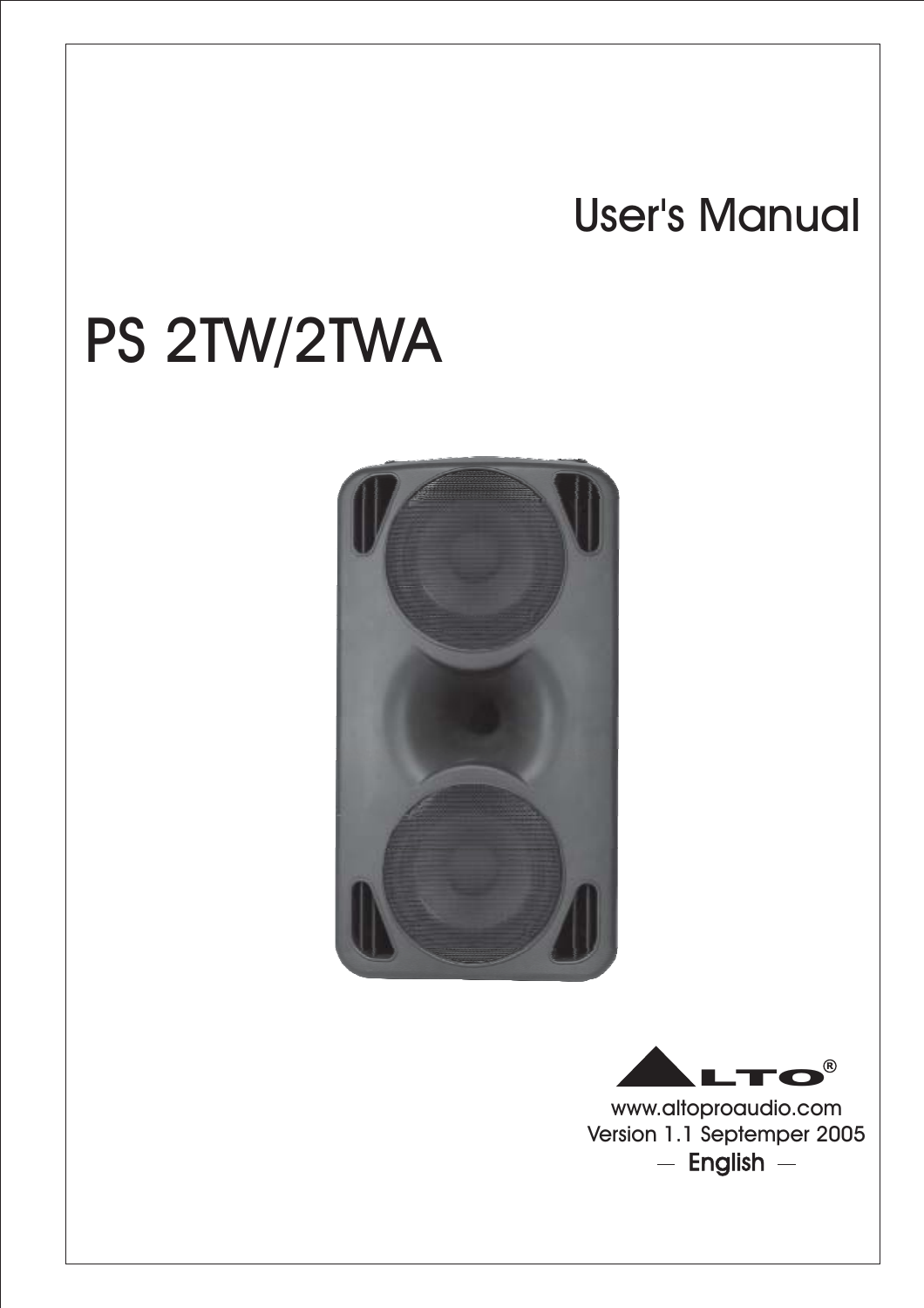# User's Manual

# PS 2TW/2TWA





www.altoproaudio.com Version 1.1 Septemper 2005  $-$  English  $-$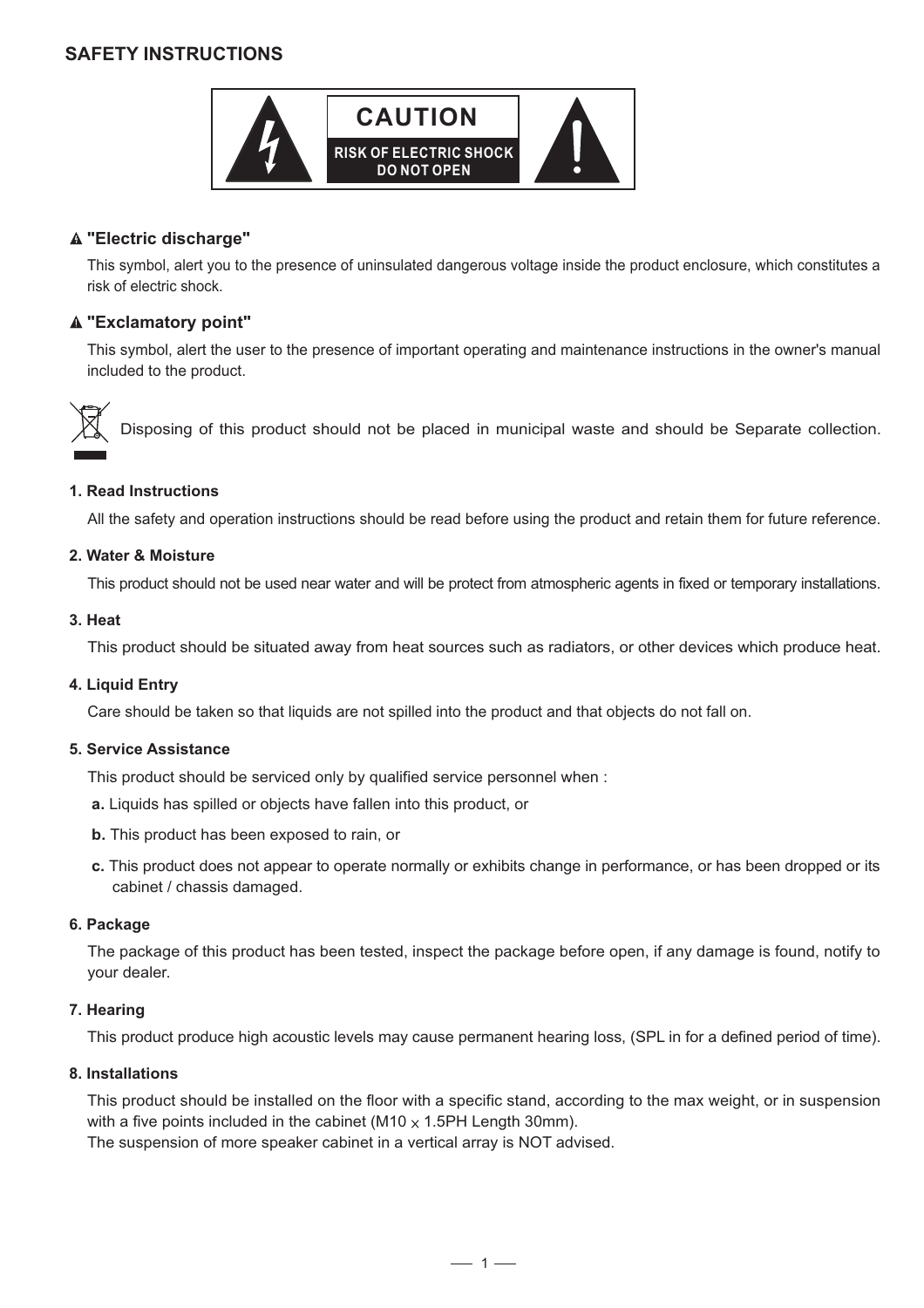# **SAFETY INSTRUCTIONS**



# **"Electric discharge"**

This symbol, alert you to the presence of uninsulated dangerous voltage inside the product enclosure, which constitutes a risk of electric shock.

# **"Exclamatory point"**

This symbol, alert the user to the presence of important operating and maintenance instructions in the owner's manual included to the product.



Disposing of this product should not be placed in municipal waste and should be Separate collection.

#### **1. Read Instructions**

All the safety and operation instructions should be read before using the product and retain them for future reference.

#### **2. Water & Moisture**

This product should not be used near water and will be protect from atmospheric agents in fixed or temporary installations.

#### **3. Heat**

This product should be situated away from heat sources such as radiators, or other devices which produce heat.

#### **4. Liquid Entry**

Care should be taken so that liquids are not spilled into the product and that objects do not fall on.

#### **5. Service Assistance**

This product should be serviced only by qualified service personnel when :

- **a.** Liquids has spilled or objects have fallen into this product, or
- **b.** This product has been exposed to rain, or
- **c.** This product does not appear to operate normally or exhibits change in performance, or has been dropped or its cabinet / chassis damaged.

#### **6. Package**

The package of this product has been tested, inspect the package before open, if any damage is found, notify to your dealer.

#### **7. Hearing**

This product produce high acoustic levels may cause permanent hearing loss, (SPL in for a defined period of time).

#### **8. Installations**

This product should be installed on the floor with a specific stand, according to the max weight, or in suspension with a five points included in the cabinet (M10  $\times$  1.5PH Length 30mm). The suspension of more speaker cabinet in a vertical array is NOT advised.

 $-1-$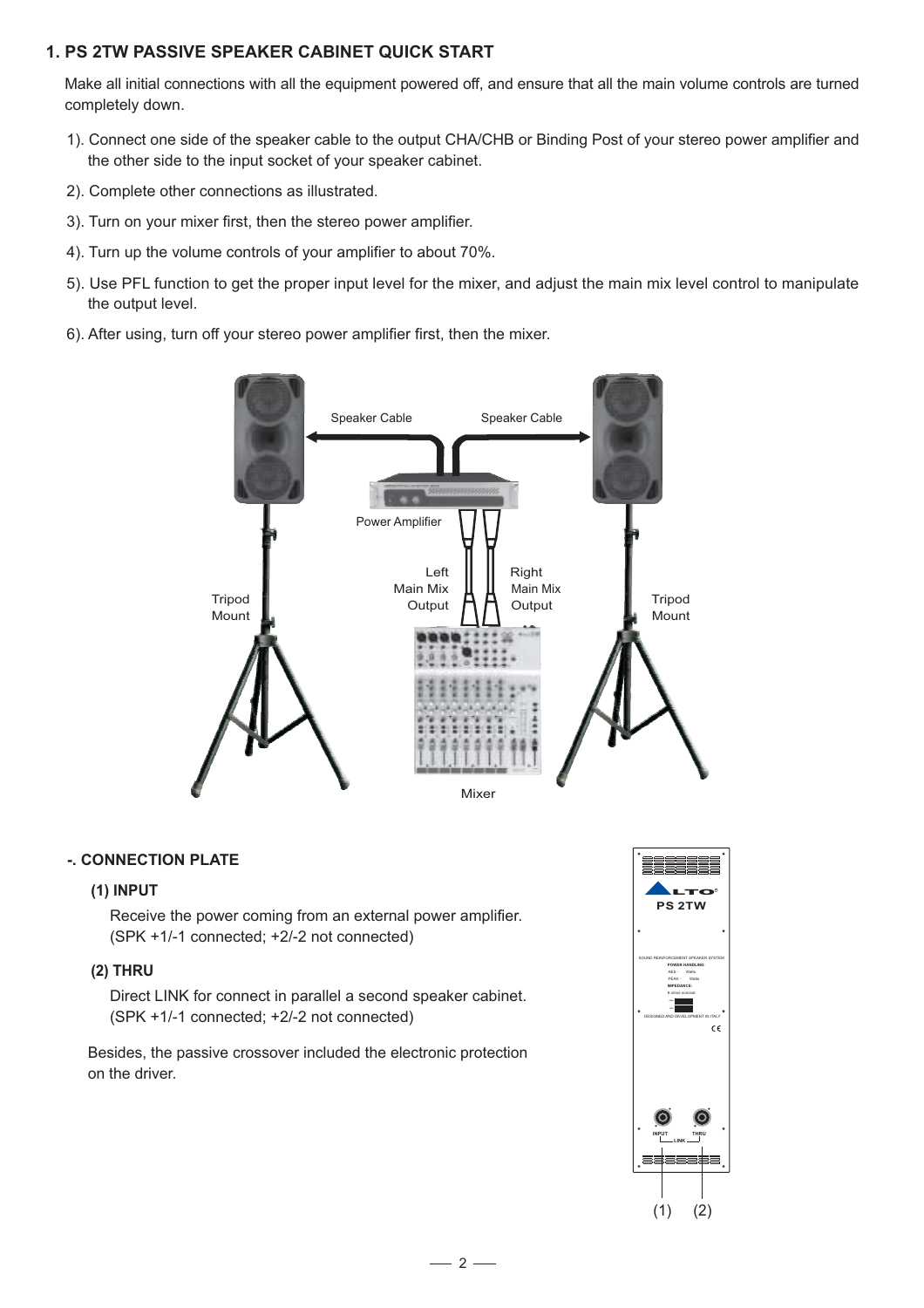# **1. PS 2TW PASSIVE SPEAKER CABINET QUICK START**

Make all initial connections with all the equipment powered off, and ensure that all the main volume controls are turned completely down.

- 1). Connect one side of the speaker cable to the output CHA/CHB or Binding Post of your stereo power amplifier and the other side to the input socket of your speaker cabinet.
- 2). Complete other connections as illustrated.
- 3). Turn on your mixer first, then the stereo power amplifier.
- 4). Turn up the volume controls of your amplifier to about 70%.
- 5). Use PFL function to get the proper input level for the mixer, and adjust the main mix level control to manipulate the output level.
- 6). After using, turn off your stereo power amplifier first, then the mixer.



#### **-. CONNECTION PLATE**

#### **(1) INPUT**

Receive the power coming from an external power amplifier. (SPK +1/-1 connected; +2/-2 not connected)

## **(2) THRU**

Direct LINK for connect in parallel a second speaker cabinet. (SPK +1/-1 connected; +2/-2 not connected)

Besides, the passive crossover included the electronic protection on the driver.

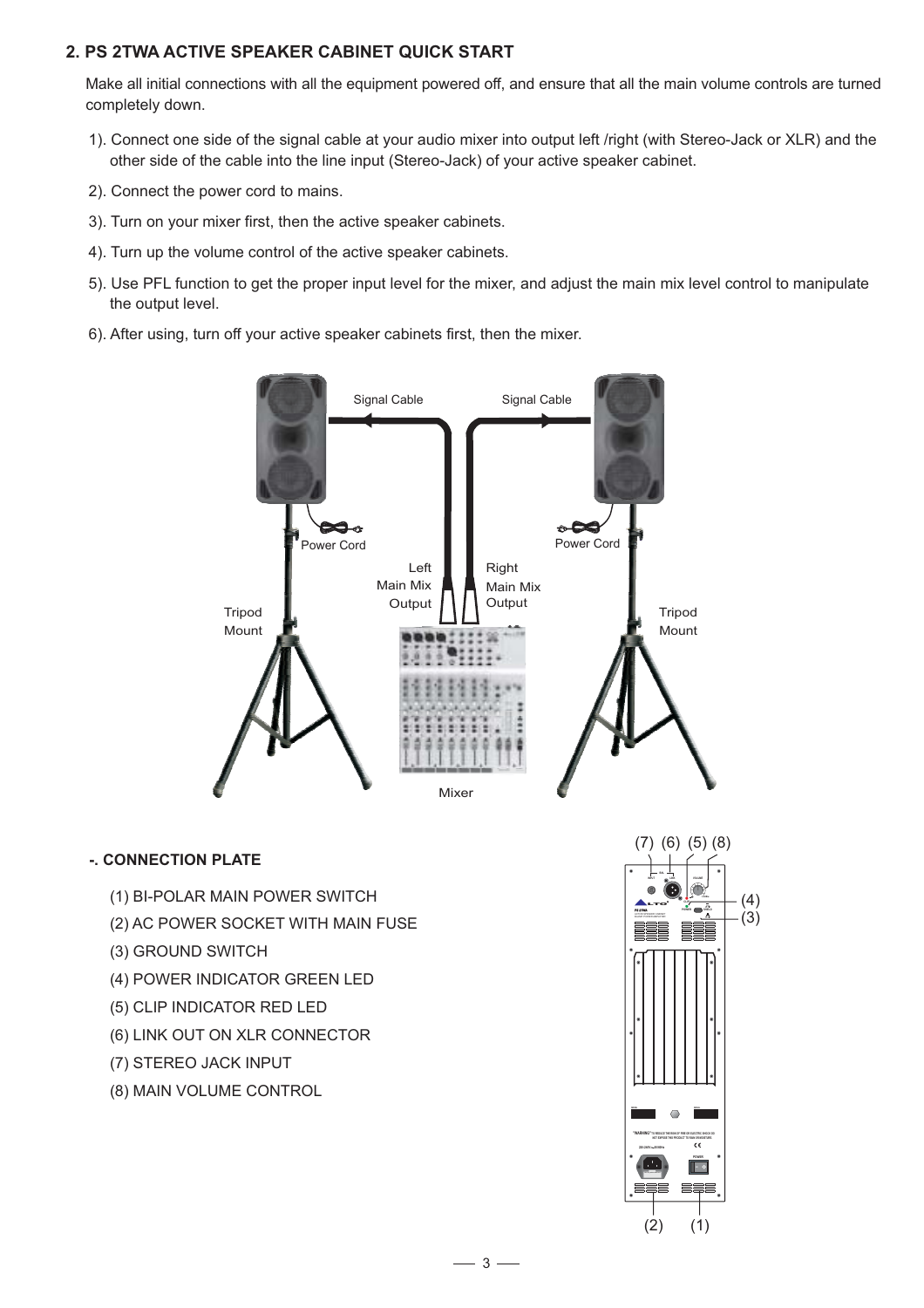# **2. PS 2TWA ACTIVE SPEAKER CABINET QUICK START**

Make all initial connections with all the equipment powered off, and ensure that all the main volume controls are turned completely down.

- 1). Connect one side of the signal cable at your audio mixer into output left /right (with Stereo-Jack or XLR) and the other side of the cable into the line input (Stereo-Jack) of your active speaker cabinet.
- 2). Connect the power cord to mains.
- 3). Turn on your mixer first, then the active speaker cabinets.
- 4). Turn up the volume control of the active speaker cabinets.
- 5). Use PFL function to get the proper input level for the mixer, and adjust the main mix level control to manipulate the output level.
- 6). After using, turn off your active speaker cabinets first, then the mixer.



## **-. CONNECTION PLATE**

- (1) BI-POLAR MAIN POWER SWITCH
- (2) AC POWER SOCKET WITH MAIN FUSE
- (3) GROUND SWITCH
- (4) POWER INDICATOR GREEN LED
- (5) CLIP INDICATOR RED LED
- (6) LINK OUT ON XLR CONNECTOR
- (7) STEREO JACK INPUT
- (8) MAIN VOLUME CONTROL

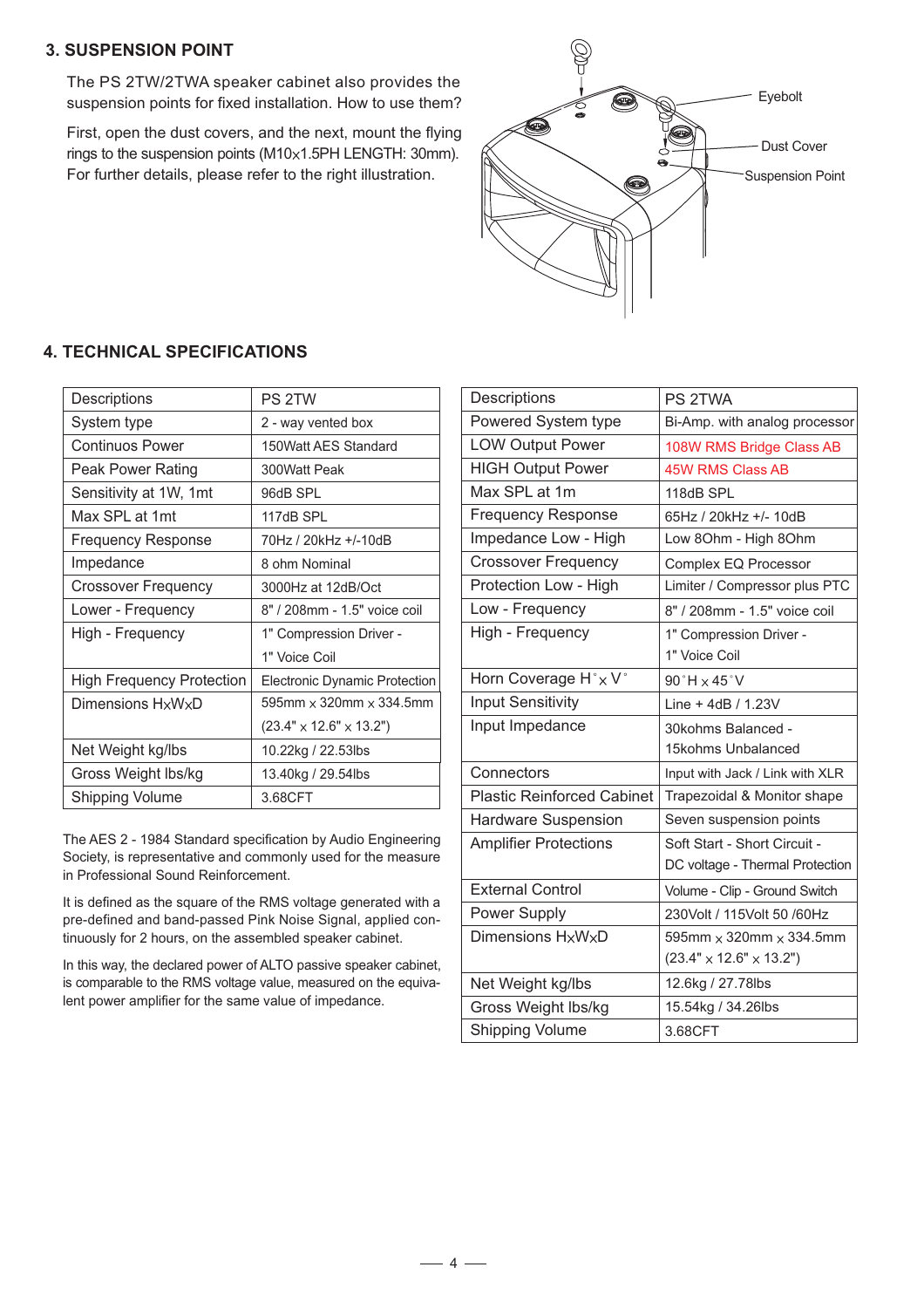# **3. SUSPENSION POINT**

The PS 2TW/2TWA speaker cabinet also provides the suspension points for fixed installation. How to use them?

First, open the dust covers, and the next, mount the flying rings to the suspension points  $(M10\times 1.5PH$  LENGTH: 30mm). For further details, please refer to the right illustration.



# **4. TECHNICAL SPECIFICATIONS**

| Descriptions                     | PS 2TW                                   |
|----------------------------------|------------------------------------------|
| System type                      | 2 - way vented box                       |
|                                  |                                          |
| <b>Continuos Power</b>           | 150Watt AES Standard                     |
| Peak Power Rating                | 300Watt Peak                             |
| Sensitivity at 1W, 1mt           | 96dB SPL                                 |
| Max SPL at 1mt                   | 117dB SPL                                |
| <b>Frequency Response</b>        | 70Hz / 20kHz +/-10dB                     |
| Impedance                        | 8 ohm Nominal                            |
| <b>Crossover Frequency</b>       | 3000Hz at 12dB/Oct                       |
| Lower - Frequency                | 8" / 208mm - 1.5" voice coil             |
| High - Frequency                 | 1" Compression Driver -                  |
|                                  | 1" Voice Coil                            |
| <b>High Frequency Protection</b> | Electronic Dynamic Protection            |
| Dimensions HxWxD                 | $595$ mm $\times$ 320mm $\times$ 334.5mm |
|                                  | $(23.4" \times 12.6" \times 13.2")$      |
| Net Weight kg/lbs                | 10.22kg / 22.53lbs                       |
| Gross Weight Ibs/kg              | 13.40kg / 29.54lbs                       |
| Shipping Volume                  | 3.68CFT                                  |

The AES 2 - 1984 Standard specification by Audio Engineering Society, is representative and commonly used for the measure in Professional Sound Reinforcement.

It is defined as the square of the RMS voltage generated with a pre-defined and band-passed Pink Noise Signal, applied continuously for 2 hours, on the assembled speaker cabinet.

In this way, the declared power of ALTO passive speaker cabinet, is comparable to the RMS voltage value, measured on the equivalent power amplifier for the same value of impedance.

| <b>Descriptions</b>               | PS 2TWA                               |
|-----------------------------------|---------------------------------------|
| Powered System type               | Bi-Amp. with analog processor         |
| <b>LOW Output Power</b>           | 108W RMS Bridge Class AB              |
| <b>HIGH Output Power</b>          | <b>45W RMS Class AB</b>               |
| Max SPL at 1m                     | 118dB SPL                             |
| <b>Frequency Response</b>         | 65Hz / 20kHz +/- 10dB                 |
| Impedance Low - High              | Low 80hm - High 80hm                  |
| <b>Crossover Frequency</b>        | Complex EQ Processor                  |
| Protection Low - High             | Limiter / Compressor plus PTC         |
| Low - Frequency                   | 8" / 208mm - 1.5" voice coil          |
| High - Frequency                  | 1" Compression Driver -               |
|                                   | 1" Voice Coil                         |
| Horn Coverage H° x V°             | $90^\circ H \times 45^\circ V$        |
| <b>Input Sensitivity</b>          | Line + 4dB $/$ 1.23V                  |
| Input Impedance                   | 30kohms Balanced -                    |
|                                   | 15kohms Unbalanced                    |
| Connectors                        | Input with Jack / Link with XLR       |
| <b>Plastic Reinforced Cabinet</b> | Trapezoidal & Monitor shape           |
| <b>Hardware Suspension</b>        | Seven suspension points               |
| <b>Amplifier Protections</b>      | Soft Start - Short Circuit -          |
|                                   | DC voltage - Thermal Protection       |
| <b>External Control</b>           | Volume - Clip - Ground Switch         |
| Power Supply                      | 230Volt / 115Volt 50 /60Hz            |
| Dimensions HxWxD                  | 595mm $\times$ 320mm $\times$ 334.5mm |
|                                   | $(23.4" \times 12.6" \times 13.2")$   |
| Net Weight kg/lbs                 | 12.6kg / 27.78lbs                     |
| Gross Weight lbs/kg               | 15.54kg / 34.26lbs                    |
| <b>Shipping Volume</b>            | 3.68CFT                               |